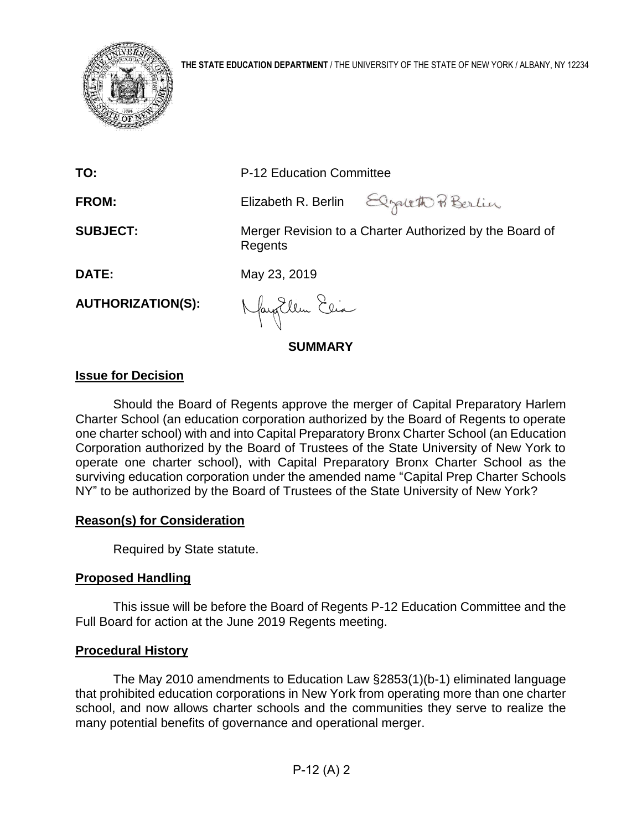

| <b>SUMMARY</b>           |                          |                                                         |  |  |  |  |
|--------------------------|--------------------------|---------------------------------------------------------|--|--|--|--|
| <b>AUTHORIZATION(S):</b> | Nayollem Elia            |                                                         |  |  |  |  |
| DATE:                    | May 23, 2019             |                                                         |  |  |  |  |
| <b>SUBJECT:</b>          | Regents                  | Merger Revision to a Charter Authorized by the Board of |  |  |  |  |
| <b>FROM:</b>             |                          | Elizabeth R. Berlin Elystett Pi Berlin                  |  |  |  |  |
| TO:                      | P-12 Education Committee |                                                         |  |  |  |  |

# **Issue for Decision**

Should the Board of Regents approve the merger of Capital Preparatory Harlem Charter School (an education corporation authorized by the Board of Regents to operate one charter school) with and into Capital Preparatory Bronx Charter School (an Education Corporation authorized by the Board of Trustees of the State University of New York to operate one charter school), with Capital Preparatory Bronx Charter School as the surviving education corporation under the amended name "Capital Prep Charter Schools NY" to be authorized by the Board of Trustees of the State University of New York?

### **Reason(s) for Consideration**

Required by State statute.

# **Proposed Handling**

This issue will be before the Board of Regents P-12 Education Committee and the Full Board for action at the June 2019 Regents meeting.

# **Procedural History**

The May 2010 amendments to Education Law §2853(1)(b-1) eliminated language that prohibited education corporations in New York from operating more than one charter school, and now allows charter schools and the communities they serve to realize the many potential benefits of governance and operational merger.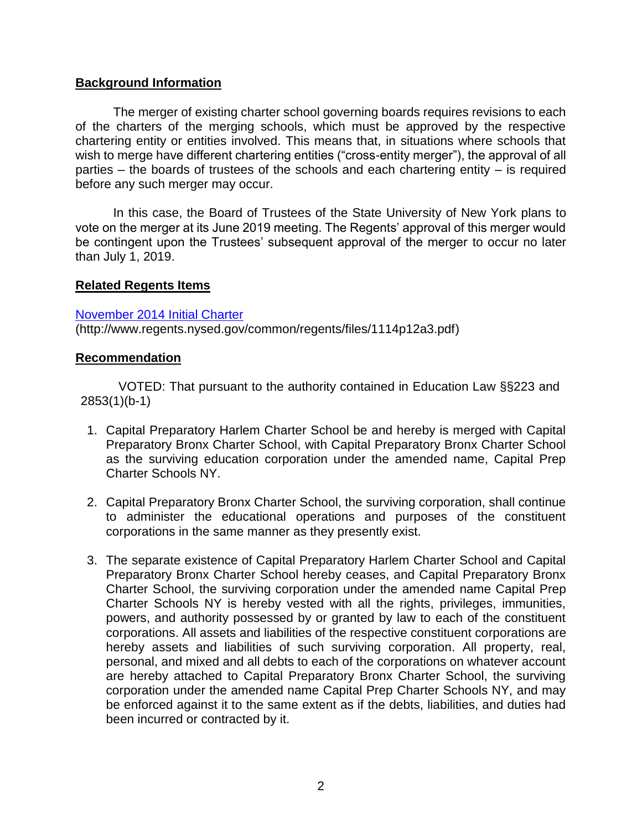# **Background Information**

The merger of existing charter school governing boards requires revisions to each of the charters of the merging schools, which must be approved by the respective chartering entity or entities involved. This means that, in situations where schools that wish to merge have different chartering entities ("cross-entity merger"), the approval of all parties – the boards of trustees of the schools and each chartering entity – is required before any such merger may occur.

In this case, the Board of Trustees of the State University of New York plans to vote on the merger at its June 2019 meeting. The Regents' approval of this merger would be contingent upon the Trustees' subsequent approval of the merger to occur no later than July 1, 2019.

### **Related Regents Items**

### [November 2014 Initial Charter](http://www.regents.nysed.gov/common/regents/files/1114p12a3.pdf)

(http://www.regents.nysed.gov/common/regents/files/1114p12a3.pdf)

### **Recommendation**

VOTED: That pursuant to the authority contained in Education Law §§223 and 2853(1)(b-1)

- 1. Capital Preparatory Harlem Charter School be and hereby is merged with Capital Preparatory Bronx Charter School, with Capital Preparatory Bronx Charter School as the surviving education corporation under the amended name, Capital Prep Charter Schools NY.
- 2. Capital Preparatory Bronx Charter School, the surviving corporation, shall continue to administer the educational operations and purposes of the constituent corporations in the same manner as they presently exist.
- 3. The separate existence of Capital Preparatory Harlem Charter School and Capital Preparatory Bronx Charter School hereby ceases, and Capital Preparatory Bronx Charter School, the surviving corporation under the amended name Capital Prep Charter Schools NY is hereby vested with all the rights, privileges, immunities, powers, and authority possessed by or granted by law to each of the constituent corporations. All assets and liabilities of the respective constituent corporations are hereby assets and liabilities of such surviving corporation. All property, real, personal, and mixed and all debts to each of the corporations on whatever account are hereby attached to Capital Preparatory Bronx Charter School, the surviving corporation under the amended name Capital Prep Charter Schools NY, and may be enforced against it to the same extent as if the debts, liabilities, and duties had been incurred or contracted by it.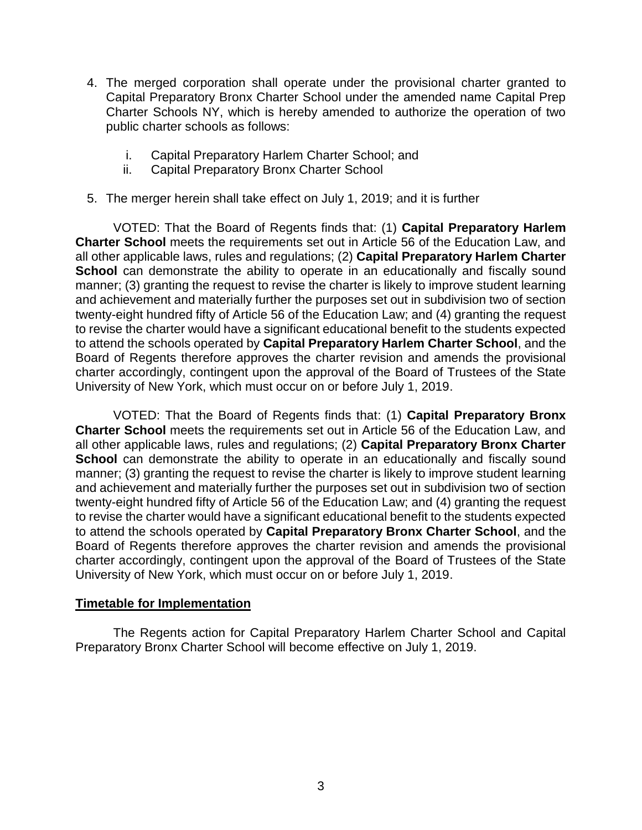- 4. The merged corporation shall operate under the provisional charter granted to Capital Preparatory Bronx Charter School under the amended name Capital Prep Charter Schools NY, which is hereby amended to authorize the operation of two public charter schools as follows:
	- i. Capital Preparatory Harlem Charter School; and
	- ii. Capital Preparatory Bronx Charter School
- 5. The merger herein shall take effect on July 1, 2019; and it is further

VOTED: That the Board of Regents finds that: (1) **Capital Preparatory Harlem Charter School** meets the requirements set out in Article 56 of the Education Law, and all other applicable laws, rules and regulations; (2) **Capital Preparatory Harlem Charter School** can demonstrate the ability to operate in an educationally and fiscally sound manner; (3) granting the request to revise the charter is likely to improve student learning and achievement and materially further the purposes set out in subdivision two of section twenty-eight hundred fifty of Article 56 of the Education Law; and (4) granting the request to revise the charter would have a significant educational benefit to the students expected to attend the schools operated by **Capital Preparatory Harlem Charter School**, and the Board of Regents therefore approves the charter revision and amends the provisional charter accordingly, contingent upon the approval of the Board of Trustees of the State University of New York, which must occur on or before July 1, 2019.

VOTED: That the Board of Regents finds that: (1) **Capital Preparatory Bronx Charter School** meets the requirements set out in Article 56 of the Education Law, and all other applicable laws, rules and regulations; (2) **Capital Preparatory Bronx Charter School** can demonstrate the ability to operate in an educationally and fiscally sound manner; (3) granting the request to revise the charter is likely to improve student learning and achievement and materially further the purposes set out in subdivision two of section twenty-eight hundred fifty of Article 56 of the Education Law; and (4) granting the request to revise the charter would have a significant educational benefit to the students expected to attend the schools operated by **Capital Preparatory Bronx Charter School**, and the Board of Regents therefore approves the charter revision and amends the provisional charter accordingly, contingent upon the approval of the Board of Trustees of the State University of New York, which must occur on or before July 1, 2019.

# **Timetable for Implementation**

The Regents action for Capital Preparatory Harlem Charter School and Capital Preparatory Bronx Charter School will become effective on July 1, 2019.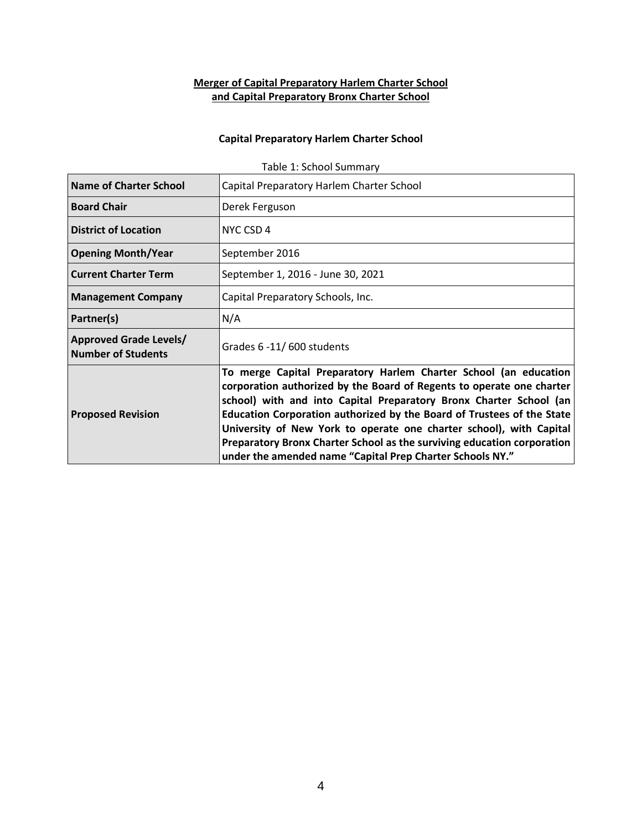# **Merger of Capital Preparatory Harlem Charter School and Capital Preparatory Bronx Charter School**

## **Capital Preparatory Harlem Charter School**

| <b>Name of Charter School</b>                              | Capital Preparatory Harlem Charter School                                                                                                                                                                                                                                                                                                                                                                                                                                                                |
|------------------------------------------------------------|----------------------------------------------------------------------------------------------------------------------------------------------------------------------------------------------------------------------------------------------------------------------------------------------------------------------------------------------------------------------------------------------------------------------------------------------------------------------------------------------------------|
| <b>Board Chair</b>                                         | Derek Ferguson                                                                                                                                                                                                                                                                                                                                                                                                                                                                                           |
| <b>District of Location</b>                                | NYC CSD 4                                                                                                                                                                                                                                                                                                                                                                                                                                                                                                |
| <b>Opening Month/Year</b>                                  | September 2016                                                                                                                                                                                                                                                                                                                                                                                                                                                                                           |
| <b>Current Charter Term</b>                                | September 1, 2016 - June 30, 2021                                                                                                                                                                                                                                                                                                                                                                                                                                                                        |
| <b>Management Company</b>                                  | Capital Preparatory Schools, Inc.                                                                                                                                                                                                                                                                                                                                                                                                                                                                        |
| Partner(s)                                                 | N/A                                                                                                                                                                                                                                                                                                                                                                                                                                                                                                      |
| <b>Approved Grade Levels/</b><br><b>Number of Students</b> | Grades 6 -11/600 students                                                                                                                                                                                                                                                                                                                                                                                                                                                                                |
| <b>Proposed Revision</b>                                   | To merge Capital Preparatory Harlem Charter School (an education<br>corporation authorized by the Board of Regents to operate one charter<br>school) with and into Capital Preparatory Bronx Charter School (an<br>Education Corporation authorized by the Board of Trustees of the State<br>University of New York to operate one charter school), with Capital<br>Preparatory Bronx Charter School as the surviving education corporation<br>under the amended name "Capital Prep Charter Schools NY." |

Table 1: School Summary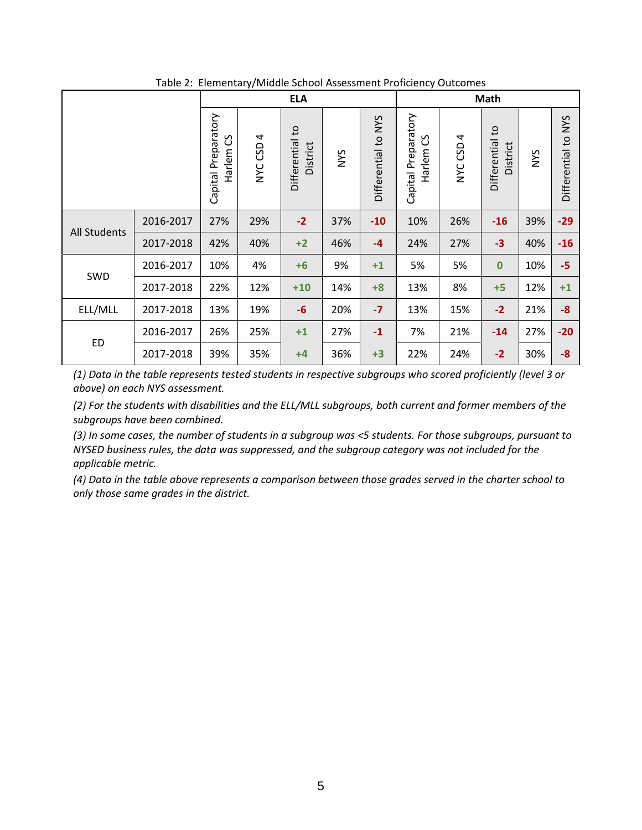|                     | <b>ELA</b> |                                    |                                |                             | Math       |                     |                                    |                                |                                    |            |                               |
|---------------------|------------|------------------------------------|--------------------------------|-----------------------------|------------|---------------------|------------------------------------|--------------------------------|------------------------------------|------------|-------------------------------|
|                     |            | Capital Preparatory<br>უ<br>Harlem | CSD <sub>4</sub><br><b>NYC</b> | Differential to<br>District | <b>NYS</b> | Differential to NYS | Capital Preparatory<br>უ<br>Harlem | CSD <sub>4</sub><br><b>NAC</b> | Differential to<br><b>District</b> | <b>NYS</b> | <b>NYS</b><br>Differential to |
| <b>All Students</b> | 2016-2017  | 27%                                | 29%                            | $-2$                        | 37%        | $-10$               | 10%                                | 26%                            | $-16$                              | 39%        | $-29$                         |
|                     | 2017-2018  | 42%                                | 40%                            | $+2$                        | 46%        | $-4$                | 24%                                | 27%                            | $-3$                               | 40%        | $-16$                         |
|                     | 2016-2017  | 10%                                | 4%                             | $+6$                        | 9%         | $+1$                | 5%                                 | 5%                             | $\bf{0}$                           | 10%        | $-5$                          |
| SWD                 | 2017-2018  | 22%                                | 12%                            | $+10$                       | 14%        | $+8$                | 13%                                | 8%                             | $+5$                               | 12%        | $+1$                          |
| ELL/MLL             | 2017-2018  | 13%                                | 19%                            | $-6$                        | 20%        | $-7$                | 13%                                | 15%                            | $-2$                               | 21%        | $-8$                          |
|                     | 2016-2017  | 26%                                | 25%                            | $+1$                        | 27%        | $-1$                | 7%                                 | 21%                            | $-14$                              | 27%        | $-20$                         |
| ED                  | 2017-2018  | 39%                                | 35%                            | $+4$                        | 36%        | $+3$                | 22%                                | 24%                            | $-2$                               | 30%        | $-8$                          |

Table 2: Elementary/Middle School Assessment Proficiency Outcomes

*(1) Data in the table represents tested students in respective subgroups who scored proficiently (level 3 or above) on each NYS assessment.*

*(2) For the students with disabilities and the ELL/MLL subgroups, both current and former members of the subgroups have been combined.*

*(3) In some cases, the number of students in a subgroup was <5 students. For those subgroups, pursuant to NYSED business rules, the data was suppressed, and the subgroup category was not included for the applicable metric.*

*(4) Data in the table above represents a comparison between those grades served in the charter school to only those same grades in the district.*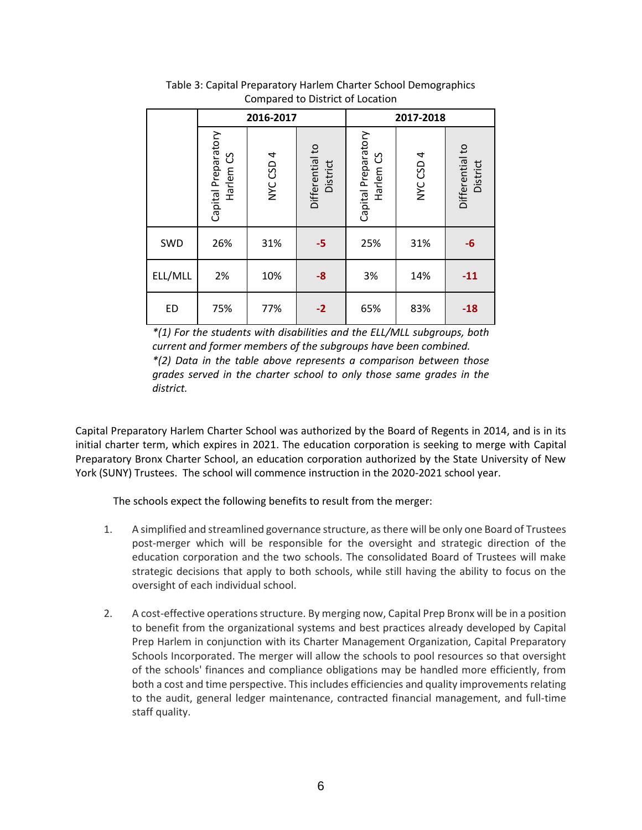|           | 2016-2017                                   |           |                             | 2017-2018                                   |           |                             |  |
|-----------|---------------------------------------------|-----------|-----------------------------|---------------------------------------------|-----------|-----------------------------|--|
|           | Capital Preparatory<br>Harlem <sub>CS</sub> | NYC CSD 4 | Differential to<br>District | Capital Preparatory<br>Harlem <sub>CS</sub> | NYC CSD 4 | Differential to<br>District |  |
| SWD       | 26%                                         | 31%       | $-5$                        | 25%                                         | 31%       | -6                          |  |
| ELL/MLL   | 2%                                          | 10%       | $-8$                        | 3%                                          | 14%       | $-11$                       |  |
| <b>ED</b> | 75%                                         | 77%       | $-2$                        | 65%                                         | 83%       | $-18$                       |  |

Table 3: Capital Preparatory Harlem Charter School Demographics Compared to District of Location

*\*(1) For the students with disabilities and the ELL/MLL subgroups, both current and former members of the subgroups have been combined. \*(2) Data in the table above represents a comparison between those grades served in the charter school to only those same grades in the district.*

Capital Preparatory Harlem Charter School was authorized by the Board of Regents in 2014, and is in its initial charter term, which expires in 2021. The education corporation is seeking to merge with Capital Preparatory Bronx Charter School, an education corporation authorized by the State University of New York (SUNY) Trustees. The school will commence instruction in the 2020-2021 school year.

The schools expect the following benefits to result from the merger:

- 1. A simplified and streamlined governance structure, as there will be only one Board of Trustees post-merger which will be responsible for the oversight and strategic direction of the education corporation and the two schools. The consolidated Board of Trustees will make strategic decisions that apply to both schools, while still having the ability to focus on the oversight of each individual school.
- 2. A cost-effective operations structure. By merging now, Capital Prep Bronx will be in a position to benefit from the organizational systems and best practices already developed by Capital Prep Harlem in conjunction with its Charter Management Organization, Capital Preparatory Schools Incorporated. The merger will allow the schools to pool resources so that oversight of the schools' finances and compliance obligations may be handled more efficiently, from both a cost and time perspective. This includes efficiencies and quality improvements relating to the audit, general ledger maintenance, contracted financial management, and full-time staff quality.